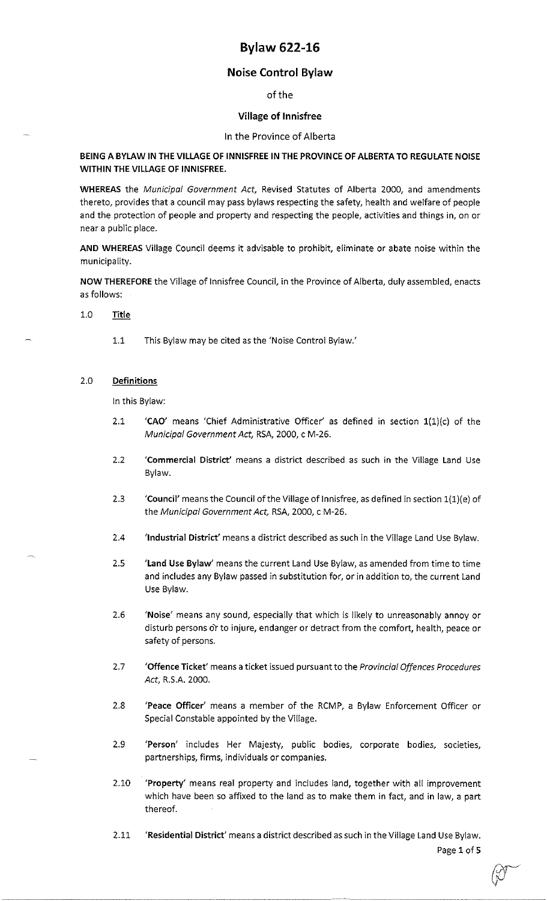# **Bylaw 622-16**

## **Noise Control Bylaw**

of the

### **Village of lnnisfree**

### In the Province of Alberta

### **BEING A BYLAW IN THE VILLAGE OF INNISFREE IN THE PROVINCE OF ALBERTA TO REGULATE NOISE WITHIN** THE VILLAGE OF **INNISFREE.**

**WHEREAS** the *Municipal Government Act,* Revised Statutes of Alberta 2000, and amendments thereto, provides that a council may pass bylaws respecting the safety, health and welfare of people and the protection of people and property and respecting the people, activities and things in, on or near a public place.

**AND WHEREAS** Village Council deems it advisable to prohibit, eliminate or abate noise within the municipality.

**NOW THEREFORE** the Village of lnnisfree Council, in the Province of Alberta, duly assembled, enacts as follows:

#### 1.0 **Title**

1.1 This Bylaw may be cited as the 'Noise Control Bylaw.'

### 2.0 **Definitions**

In this Bylaw:

- 2.1 **'CAO'** means 'Chief Administrative Officer' as defined in section l(l)(c) of the *Municipal Government Act,* RSA, 2000, c M-26.
- 2.2 'Commercial District' means a district described as such in the Village Land Use Bylaw.
- 2.3 **Council'** means the Council of the Village of Innisfree, as defined in section 1(1)(e) of the *Municipal Government Act,* RSA, 2000, c M-26.
- 2.4 **'Industrial District'** means a district described as such in the Village Land Use Bylaw.
- 2.5 **'Land Use Bylaw'** means the current Land Use Bylaw, as amended from time to time and includes any Bylaw passed in substitution for, or in addition to, the current Land Use Bylaw.
- 2.6 **'Noise'** means any sound, especially that which is likely to unreasonably annoy or disturb persons or to injure, endanger or detract from the comfort, health, peace or safety of persons.
- 2.7 **'Offence Ticket'** means a ticket issued pursuant to the *Provincial Offences Procedures Act,* R.S.A. 2000.
- 2.8 **'Peace Officer'** means a member of the RCMP, a Bylaw Enforcement Officer or Special Constable appointed by the Village.
- 2.9 **'Person'** includes Her Majesty, public bodies, corporate bodies, societies, partnerships, firms, individuals or companies.
- 2.10 **'Property'** means real property and includes land, together with all improvement which have been so affixed to the land as to make them in fact, and in law, a part thereof.
- 2.11 **'Residential District'** means a district described as such in the Village Land Use Bylaw. Page 1 of 5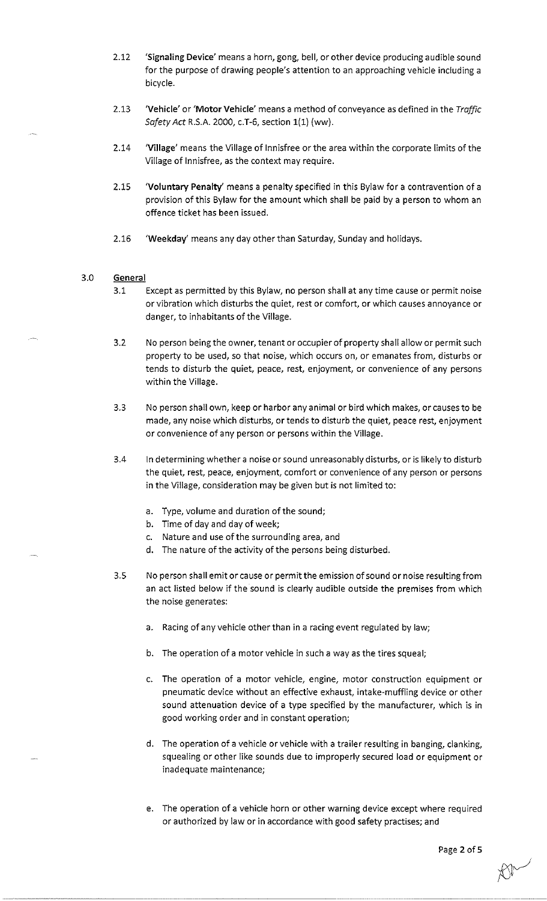- 2.12 **'Signaling Device'** means a horn, gong, bell, or other device producing audible sound for the purpose of drawing people's attention to an approaching vehicle including a bicycle.
- 2.13 **'Vehicle' or 'Motor Vehicle'** means a method of conveyance as defined in the *Traffic Safety Act* R.S.A. 2000, c.T-6, section 1(1) (ww).
- 2.14 **'Village'** means the Village of lnnisfree or the area within the corporate limits of the Village of lnnisfree, as the context may require.
- 2.15 **'Voluntary Penalty'** means a penalty specified in this Bylaw for a contravention of a provision of this Bylaw for the amount which shall be paid by a person to whom an offence ticket has been issued.
- 2.16 **'Weekday'** means any day other than Saturday, Sunday and holidays.

### 3.0 **General**

- 3.1 Except as permitted by this Bylaw, no person shall at any time cause or permit noise or vibration which disturbs the quiet, rest or comfort, or which causes annoyance or danger, to inhabitants of the Village.
- 3.2 No person being the owner, tenant or occupier of property shall allow or permit such property to be used, so that noise, which occurs on, or emanates from, disturbs or tends to disturb the quiet, peace, rest, enjoyment, or convenience of any persons within the Village.
- 3.3 No person shall own, keep or harbor any animal or bird which makes, or causes to be made, any noise which disturbs, or tends to disturb the quiet, peace rest, enjoyment or convenience of any person or persons within the Village.
- 3.4 In determining whether a noise or sound unreasonably disturbs, or is likely to disturb the quiet, rest, peace, enjoyment, comfort or convenience of any person or persons in the Village, consideration may be given but is not limited to:
	- a. Type, volume and duration of the sound;
	- b. Time of day and day of week;
	- c. Nature and use of the surrounding area, and
	- d. The nature of the activity of the persons being disturbed.
- 3.5 No person shall emit or cause or permit the emission of sound or noise resulting from an act listed below if the sound is clearly audible outside the premises from which the noise generates:
	- a. Racing of any vehicle other than in a racing event regulated by law;
	- b. The operation of a motor vehicle in such a way as the tires squeal;
	- c. The operation of a motor vehicle, engine, motor construction equipment or pneumatic device without an effective exhaust, intake-muffling device or other sound attenuation device of a type specified by the manufacturer, which is in good working order and in constant operation;
	- d. The operation of a vehicle or vehicle with a trailer resulting **in** banging, clanking, squealing or other like sounds due to improperly secured load or equipment or inadequate maintenance;
	- e. The operation of a vehicle horn or other warning device except where required or authorized by law or in accordance with good safety practises; and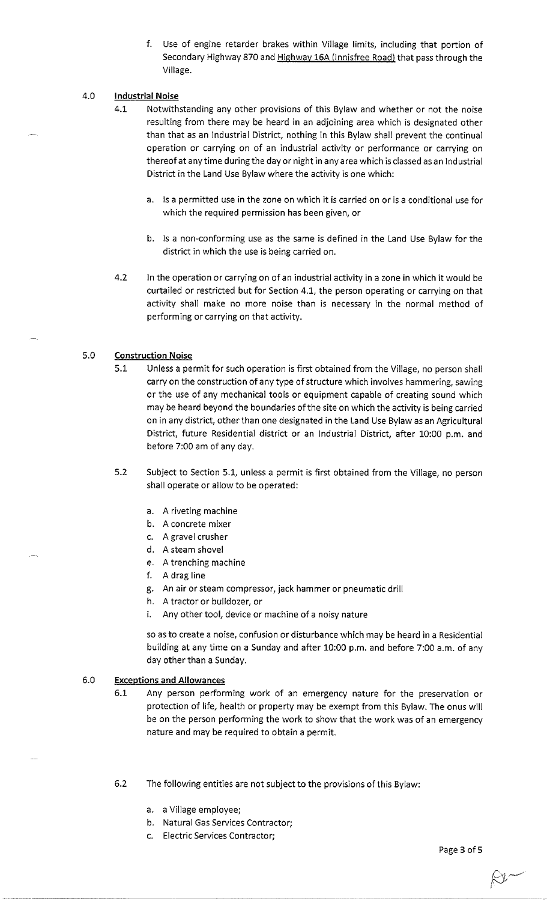- f. Use of engine retarder brakes within Village limits, including that portion of Secondary Highway 870 and Highway 16A (lnnisfree Road) that pass through the Village.
- 4.0 **Industrial Noise** 
	- 4.1 Notwithstanding any other provisions of this Bylaw and whether or not the noise resulting from there may be heard in an adjoining area which is designated other than that as an Industrial District, nothing in this Bylaw shall prevent the continual operation or carrying on of an industrial activity or performance or carrying on thereof at any time during the day or night **in** any area which is classed as an Industrial District in the Land Use Bylaw where the activity is one which:
		- a. Is a permitted use **in** the zone on which it is carried on or is a conditional use for which the required permission has been given, or
		- b. Is a non-conforming use as the same is defined in the Land Use Bylaw for the district in which the use is being carried on.
	- 4.2 In the operation or carrying on of an industrial activity **in** a zone **in** which it would be curtailed or restricted but for Section 4.1, the person operating or carrying on that activity shall make no more noise than is necessary in the normal method of performing or carrying on that activity.

#### 5.0 **Construction Noise**

- 5.1 Unless a permit for such operation is first obtained from the Village, no person shall carry on the construction of any type of structure which involves hammering, sawing or the use of any mechanical tools or equipment capable of creating sound which may be heard beyond the boundaries of the site on which the activity is being carried on in any district, other than one designated **in** the Land Use Bylaw as an Agricultural District, future Residential district or an Industrial District, after 10:00 p.m. and before 7:00 am of any day.
- 5.2 Subject to Section 5.1, unless a permit is first obtained from the Village, no person shall operate or allow to be operated:
	- a. A riveting machine
	- b. A concrete mixer
	- c. A gravel crusher
	- d. A steam shovel
	- e. A trenching machine
	- f. A drag line
	- g. An air or steam compressor, jack hammer or pneumatic drill
	- h. A tractor or bulldozer, or
	- i. Any other tool, device or machine of a noisy nature

so as to create a noise, confusion or disturbance which may be heard in a Residential building at any time on a Sunday and after 10:00 p.m. and before 7:00 a.m. of any day other than a Sunday.

#### 6.0 **Exceptions and Allowances**

- 6.1 Any person performing work of an emergency nature for the preservation or protection of life, health or property may be exempt from this Bylaw. The onus will be on the person performing the work to show that the work was of an emergency nature and may be required to obtain a permit.
- 6.2 The following entities are not subject to the provisions of this Bylaw:
	- a. a Village employee;
	- b. Natural Gas Services Contractor;
	- c. Electric Services Contractor;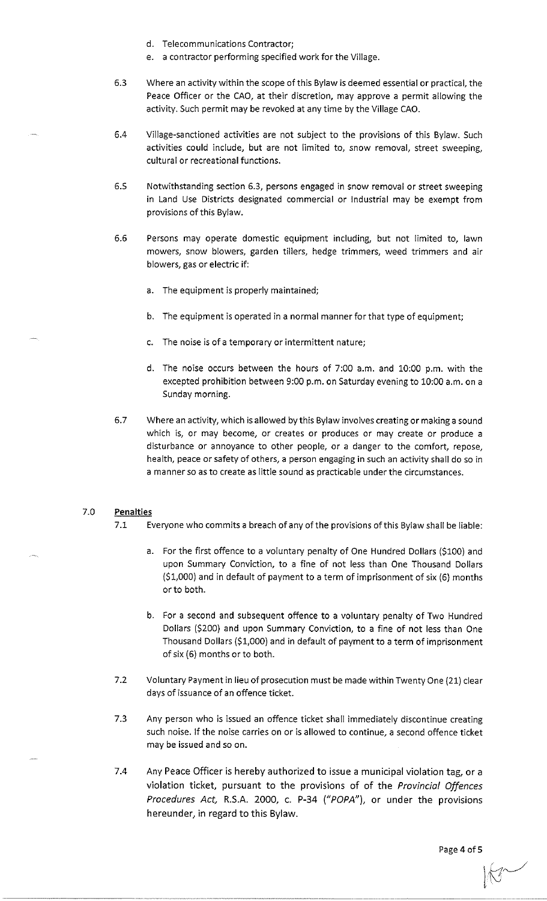- d. Telecommunications Contractor;
- e. a contractor performing specified work for the Village.
- 6.3 Where an activity within the scope of this Bylaw is deemed essential or practical, the Peace Officer or the CAO, at their discretion, may approve a permit allowing the activity. Such permit may be revoked at any time by the Village CAO.
- 6.4 Village-sanctioned activities are not subject to the provisions of this Bylaw. Such activities could include, but are not limited to, snow removal, street sweeping, cultural or recreational functions.
- 6.5 Notwithstanding section 6.3, persons engaged in snow removal or street sweeping in Land Use Districts designated commercial or Industrial may be exempt from provisions of this Bylaw.
- 6.6 Persons may operate domestic equipment including, but not limited to, lawn mowers, snow blowers, garden tillers, hedge trimmers, weed trimmers and air blowers, gas or electric if:
	- a. The equipment is properly maintained;
	- b. The equipment is operated in a normal manner for that type of equipment;
	- c. The noise is of a temporary or intermittent nature;
	- d. The noise occurs between the hours of 7:00 a.m. and 10:00 p.m. with the excepted prohibition between 9:00 p.m. on Saturday evening to 10:00 a.m. on a Sunday morning.
- 6.7 Where an activity, which is allowed by this Bylaw involves creating or making a sound which is, or may become, or creates or produces or may create or produce a disturbance or annoyance to other people, or a danger to the comfort, repose, health, peace or safety of others, a person engaging in such an activity shall do so in a manner so as to create as little sound as practicable under the circumstances.

#### 7.0 **Penalties**

- 7.1 Everyone who commits a breach of any of the provisions of this Bylaw shall be liable:
	- a. For the first offence to a voluntary penalty of One Hundred Dollars (\$100) and upon Summary Conviction, to a fine of not less than One Thousand Dollars (\$1,000) and in default of payment to a term of imprisonment of six (6) months or to both.
	- b. For a second and subsequent offence to a voluntary penalty of Two Hundred Dollars (\$200) and upon Summary Conviction, to a fine of not less than One Thousand Dollars (\$1,000) and in default of payment to a term of imprisonment of six (6) months or to both.
- 7.2 Voluntary Payment in lieu of prosecution must be made within Twenty One (21) clear days of issuance of an offence ticket.
- 7.3 Any person who is issued an offence ticket shall immediately discontinue creating such noise. If the noise carries on or is allowed to continue, a second offence ticket may be issued and so on.
- 7.4 Any Peace Officer is hereby authorized to issue a municipal violation tag, or a violation ticket, pursuant to the provisions of of the *Provincial Offences Procedures Act,* R.S.A. 2000, c. P-34 *("POPA"),* or under the provisions hereunder, in regard to this Bylaw.